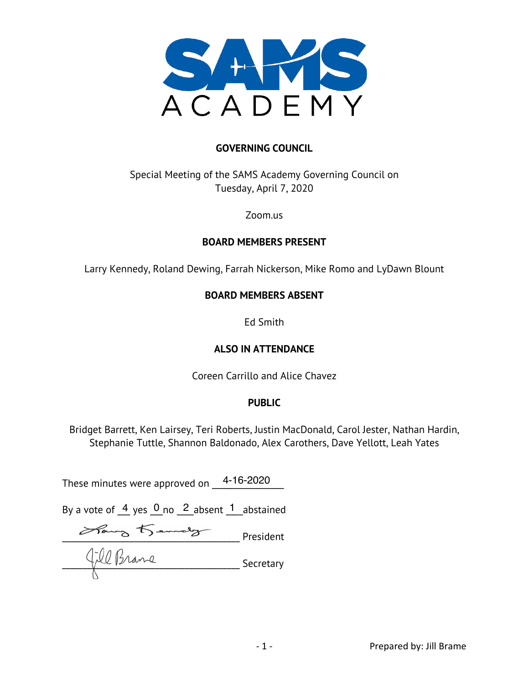

#### **GOVERNING COUNCIL**

# Special Meeting of the SAMS Academy Governing Council on Tuesday, April 7, 2020

Zoom.us

#### **BOARD MEMBERS PRESENT**

Larry Kennedy, Roland Dewing, Farrah Nickerson, Mike Romo and LyDawn Blount

#### **BOARD MEMBERS ABSENT**

Ed Smith

#### **ALSO IN ATTENDANCE**

Coreen Carrillo and Alice Chavez

#### **PUBLIC**

Bridget Barrett, Ken Lairsey, Teri Roberts, Justin MacDonald, Carol Jester, Nathan Hardin, Stephanie Tuttle, Shannon Baldonado, Alex Carothers, Dave Yellott, Leah Yates

These minutes were approved on  $\frac{4\text{-}16\text{-}2020}{...}$ 

By a vote of  $\frac{4}{5}$  yes  $\frac{0}{5}$  no  $\frac{2}{5}$  absent  $\frac{1}{5}$  abstained

 $\overline{\phantom{a}}$  President  $\frac{1}{2}$   $\frac{1}{2}$   $\frac{1}{2}$   $\frac{1}{2}$   $\frac{1}{2}$   $\frac{1}{2}$   $\frac{1}{2}$   $\frac{1}{2}$   $\frac{1}{2}$   $\frac{1}{2}$   $\frac{1}{2}$   $\frac{1}{2}$   $\frac{1}{2}$   $\frac{1}{2}$   $\frac{1}{2}$   $\frac{1}{2}$   $\frac{1}{2}$   $\frac{1}{2}$   $\frac{1}{2}$   $\frac{1}{2}$   $\frac{1}{2}$   $\frac{1}{2}$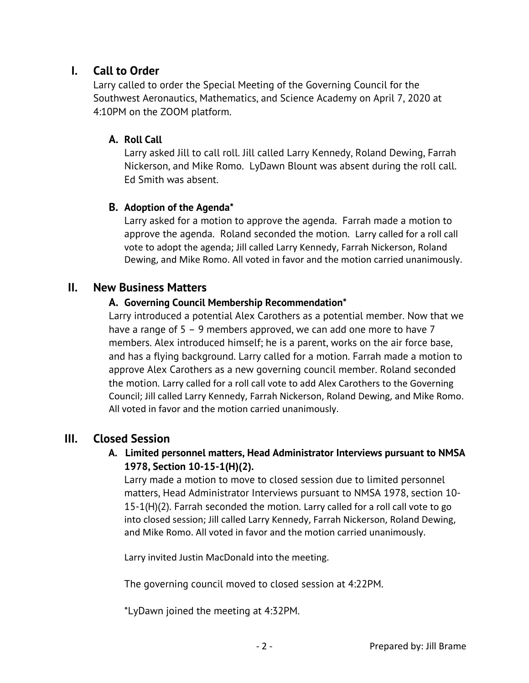# **I. Call to Order**

Larry called to order the Special Meeting of the Governing Council for the Southwest Aeronautics, Mathematics, and Science Academy on April 7, 2020 at 4:10PM on the ZOOM platform.

#### **A. Roll Call**

Larry asked Jill to call roll. Jill called Larry Kennedy, Roland Dewing, Farrah Nickerson, and Mike Romo. LyDawn Blount was absent during the roll call. Ed Smith was absent.

# **B. Adoption of the Agenda\***

Larry asked for a motion to approve the agenda. Farrah made a motion to approve the agenda. Roland seconded the motion. Larry called for a roll call vote to adopt the agenda; Jill called Larry Kennedy, Farrah Nickerson, Roland Dewing, and Mike Romo. All voted in favor and the motion carried unanimously.

# **II. New Business Matters**

#### **A. Governing Council Membership Recommendation\***

Larry introduced a potential Alex Carothers as a potential member. Now that we have a range of 5 – 9 members approved, we can add one more to have 7 members. Alex introduced himself; he is a parent, works on the air force base, and has a flying background. Larry called for a motion. Farrah made a motion to approve Alex Carothers as a new governing council member. Roland seconded the motion. Larry called for a roll call vote to add Alex Carothers to the Governing Council; Jill called Larry Kennedy, Farrah Nickerson, Roland Dewing, and Mike Romo. All voted in favor and the motion carried unanimously.

# **III. Closed Session**

 **A. Limited personnel matters, Head Administrator Interviews pursuant to NMSA 1978, Section 10-15-1(H)(2).** 

Larry made a motion to move to closed session due to limited personnel matters, Head Administrator Interviews pursuant to NMSA 1978, section 10- 15-1(H)(2). Farrah seconded the motion. Larry called for a roll call vote to go into closed session; Jill called Larry Kennedy, Farrah Nickerson, Roland Dewing, and Mike Romo. All voted in favor and the motion carried unanimously.

Larry invited Justin MacDonald into the meeting.

The governing council moved to closed session at 4:22PM.

\*LyDawn joined the meeting at 4:32PM.